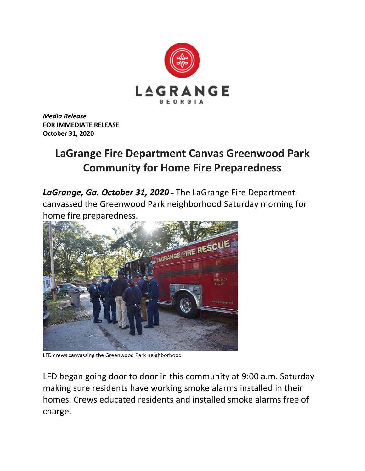

*Media Release* **FOR IMMEDIATE RELEASE October 31, 2020**

## **LaGrange Fire Department Canvas Greenwood Park Community for Home Fire Preparedness**

*LaGrange, Ga. October 31, 2020* – The LaGrange Fire Department canvassed the Greenwood Park neighborhood Saturday morning for home fire preparedness.



LFD crews canvassing the Greenwood Park neighborhood

LFD began going door to door in this community at 9:00 a.m. Saturday making sure residents have working smoke alarms installed in their homes. Crews educated residents and installed smoke alarms free of charge.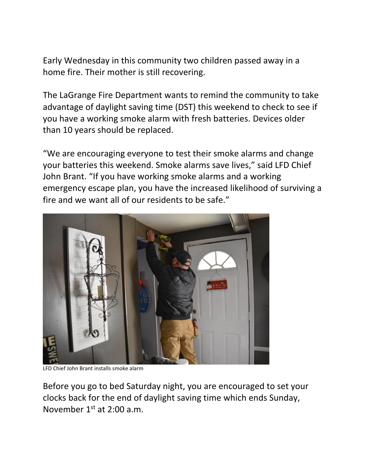Early Wednesday in this community two children passed away in a home fire. Their mother is still recovering.

The LaGrange Fire Department wants to remind the community to take advantage of daylight saving time (DST) this weekend to check to see if you have a working smoke alarm with fresh batteries. Devices older than 10 years should be replaced.

"We are encouraging everyone to test their smoke alarms and change your batteries this weekend. Smoke alarms save lives," said LFD Chief John Brant. "If you have working smoke alarms and a working emergency escape plan, you have the increased likelihood of surviving a fire and we want all of our residents to be safe."



LFD Chief John Brant installs smoke alarm

Before you go to bed Saturday night, you are encouraged to set your clocks back for the end of daylight saving time which ends Sunday, November 1st at 2:00 a.m.